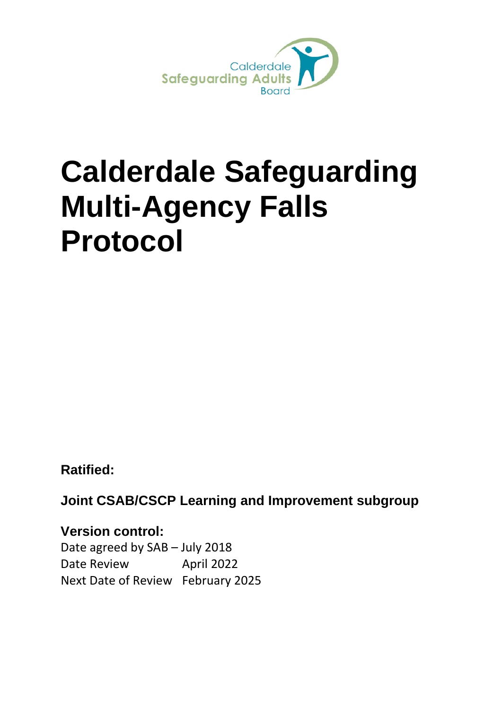

# <span id="page-0-0"></span>**Calderdale Safeguarding Multi-Agency Falls Protocol**

**Ratified:**

**Joint CSAB/CSCP Learning and Improvement subgroup**

**Version control:**  Date agreed by SAB – July 2018 Date Review April 2022 Next Date of Review February 2025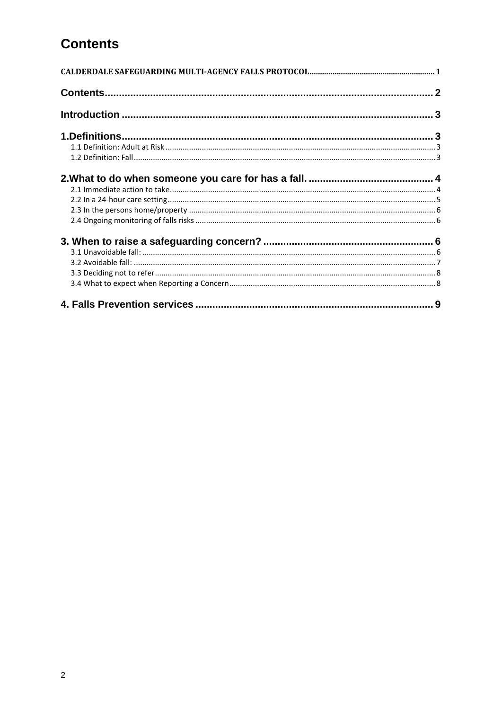# <span id="page-1-0"></span>**Contents**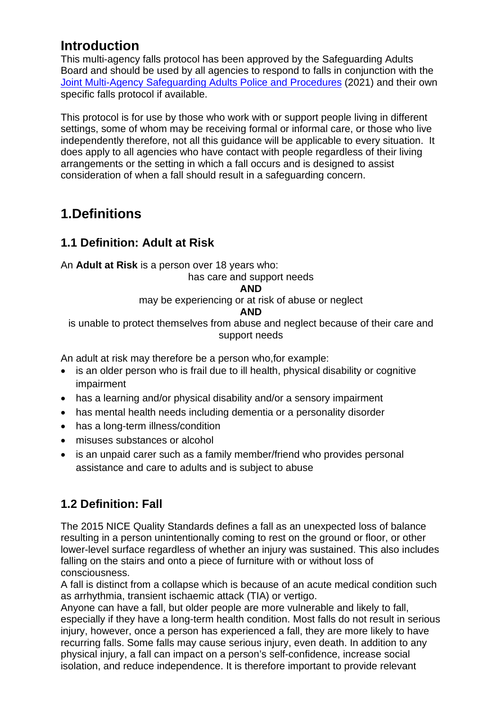# <span id="page-2-0"></span>**Introduction**

This multi-agency falls protocol has been approved by the Safeguarding Adults Board and should be used by all agencies to respond to falls in conjunction with the [Joint Multi-Agency Safeguarding Adults Police and Procedures](https://saferbradford.co.uk/media/ys2d5ubm/joint-ma-safeguarding-adults-policy-procedures-2019-20-21-review-final-version-august-2021.pdf) (2021) and their own specific falls protocol if available.

This protocol is for use by those who work with or support people living in different settings, some of whom may be receiving formal or informal care, or those who live independently therefore, not all this guidance will be applicable to every situation. It does apply to all agencies who have contact with people regardless of their living arrangements or the setting in which a fall occurs and is designed to assist consideration of when a fall should result in a safeguarding concern.

# <span id="page-2-1"></span>**1.Definitions**

## <span id="page-2-2"></span>**1.1 Definition: Adult at Risk**

An **Adult at Risk** is a person over 18 years who:

has care and support needs

#### **AND**

may be experiencing or at risk of abuse or neglect

#### **AND**

is unable to protect themselves from abuse and neglect because of their care and support needs

An adult at risk may therefore be a person who,for example:

- is an older person who is frail due to ill health, physical disability or cognitive impairment
- has a learning and/or physical disability and/or a sensory impairment
- has mental health needs including dementia or a personality disorder
- has a long-term illness/condition
- misuses substances or alcohol
- is an unpaid carer such as a family member/friend who provides personal assistance and care to adults and is subject to abuse

## <span id="page-2-3"></span>**1.2 Definition: Fall**

The 2015 NICE Quality Standards defines a fall as an unexpected loss of balance resulting in a person unintentionally coming to rest on the ground or floor, or other lower-level surface regardless of whether an injury was sustained. This also includes falling on the stairs and onto a piece of furniture with or without loss of consciousness.

A fall is distinct from a collapse which is because of an acute medical condition such as arrhythmia, transient ischaemic attack (TIA) or vertigo.

Anyone can have a fall, but older people are more vulnerable and likely to fall, especially if they have a long-term health condition. Most falls do not result in serious injury, however, once a person has experienced a fall, they are more likely to have recurring falls. Some falls may cause serious injury, even death. In addition to any physical injury, a fall can impact on a person's self-confidence, increase social isolation, and reduce independence. It is therefore important to provide relevant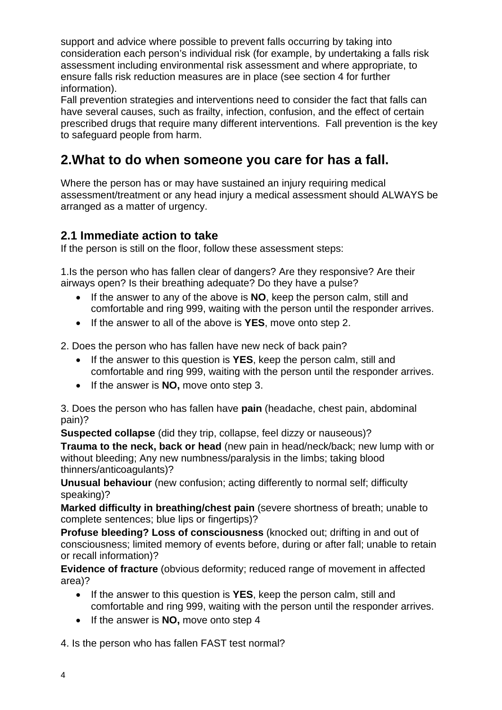support and advice where possible to prevent falls occurring by taking into consideration each person's individual risk (for example, by undertaking a falls risk assessment including environmental risk assessment and where appropriate, to ensure falls risk reduction measures are in place (see section 4 for further information).

Fall prevention strategies and interventions need to consider the fact that falls can have several causes, such as frailty, infection, confusion, and the effect of certain prescribed drugs that require many different interventions. Fall prevention is the key to safeguard people from harm.

# <span id="page-3-0"></span>**2.What to do when someone you care for has a fall.**

Where the person has or may have sustained an injury requiring medical assessment/treatment or any head injury a medical assessment should ALWAYS be arranged as a matter of urgency.

### <span id="page-3-1"></span>**2.1 Immediate action to take**

If the person is still on the floor, follow these assessment steps:

1.Is the person who has fallen clear of dangers? Are they responsive? Are their airways open? Is their breathing adequate? Do they have a pulse?

- If the answer to any of the above is **NO**, keep the person calm, still and comfortable and ring 999, waiting with the person until the responder arrives.
- If the answer to all of the above is **YES**, move onto step 2.

2. Does the person who has fallen have new neck of back pain?

- If the answer to this question is **YES**, keep the person calm, still and comfortable and ring 999, waiting with the person until the responder arrives.
- If the answer is **NO,** move onto step 3.

3. Does the person who has fallen have **pain** (headache, chest pain, abdominal pain)?

**Suspected collapse** (did they trip, collapse, feel dizzy or nauseous)?

**Trauma to the neck, back or head** (new pain in head/neck/back; new lump with or without bleeding; Any new numbness/paralysis in the limbs; taking blood thinners/anticoagulants)?

**Unusual behaviour** (new confusion; acting differently to normal self; difficulty speaking)?

**Marked difficulty in breathing/chest pain** (severe shortness of breath; unable to complete sentences; blue lips or fingertips)?

**Profuse bleeding? Loss of consciousness** (knocked out; drifting in and out of consciousness; limited memory of events before, during or after fall; unable to retain or recall information)?

**Evidence of fracture** (obvious deformity; reduced range of movement in affected area)?

- If the answer to this question is **YES**, keep the person calm, still and comfortable and ring 999, waiting with the person until the responder arrives.
- If the answer is **NO,** move onto step 4

4. Is the person who has fallen FAST test normal?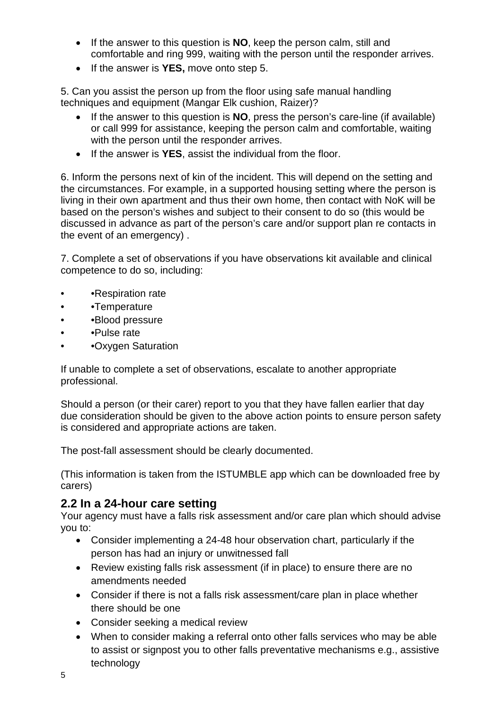- If the answer to this question is **NO**, keep the person calm, still and comfortable and ring 999, waiting with the person until the responder arrives.
- If the answer is **YES,** move onto step 5.

5. Can you assist the person up from the floor using safe manual handling techniques and equipment (Mangar Elk cushion, Raizer)?

- If the answer to this question is **NO**, press the person's care-line (if available) or call 999 for assistance, keeping the person calm and comfortable, waiting with the person until the responder arrives.
- If the answer is **YES**, assist the individual from the floor.

6. Inform the persons next of kin of the incident. This will depend on the setting and the circumstances. For example, in a supported housing setting where the person is living in their own apartment and thus their own home, then contact with NoK will be based on the person's wishes and subject to their consent to do so (this would be discussed in advance as part of the person's care and/or support plan re contacts in the event of an emergency) .

7. Complete a set of observations if you have observations kit available and clinical competence to do so, including:

- •Respiration rate
- • **Temperature**
- • Blood pressure
- •Pulse rate
- • Oxygen Saturation

If unable to complete a set of observations, escalate to another appropriate professional.

Should a person (or their carer) report to you that they have fallen earlier that day due consideration should be given to the above action points to ensure person safety is considered and appropriate actions are taken.

The post-fall assessment should be clearly documented.

(This information is taken from the ISTUMBLE app which can be downloaded free by carers)

#### <span id="page-4-0"></span>**2.2 In a 24-hour care setting**

Your agency must have a falls risk assessment and/or care plan which should advise you to:

- Consider implementing a 24-48 hour observation chart, particularly if the person has had an injury or unwitnessed fall
- Review existing falls risk assessment (if in place) to ensure there are no amendments needed
- Consider if there is not a falls risk assessment/care plan in place whether there should be one
- Consider seeking a medical review
- When to consider making a referral onto other falls services who may be able to assist or signpost you to other falls preventative mechanisms e.g., assistive technology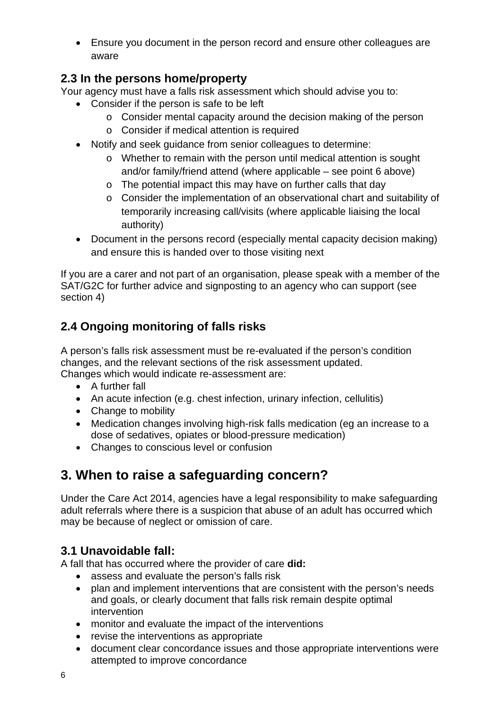• Ensure you document in the person record and ensure other colleagues are aware

## <span id="page-5-0"></span>**2.3 In the persons home/property**

Your agency must have a falls risk assessment which should advise you to:

- Consider if the person is safe to be left
	- o Consider mental capacity around the decision making of the person
	- o Consider if medical attention is required
- Notify and seek guidance from senior colleagues to determine:
	- o Whether to remain with the person until medical attention is sought and/or family/friend attend (where applicable – see point 6 above)
	- o The potential impact this may have on further calls that day
	- o Consider the implementation of an observational chart and suitability of temporarily increasing call/visits (where applicable liaising the local authority)
- Document in the persons record (especially mental capacity decision making) and ensure this is handed over to those visiting next

If you are a carer and not part of an organisation, please speak with a member of the SAT/G2C for further advice and signposting to an agency who can support (see section 4)

# <span id="page-5-1"></span>**2.4 Ongoing monitoring of falls risks**

A person's falls risk assessment must be re-evaluated if the person's condition changes, and the relevant sections of the risk assessment updated. Changes which would indicate re-assessment are:

- A further fall
- An acute infection (e.g. chest infection, urinary infection, cellulitis)
- Change to mobility
- Medication changes involving high-risk falls medication (eg an increase to a dose of sedatives, opiates or blood-pressure medication)
- Changes to conscious level or confusion

# <span id="page-5-2"></span>**3. When to raise a safeguarding concern?**

Under the Care Act 2014, agencies have a legal responsibility to make safeguarding adult referrals where there is a suspicion that abuse of an adult has occurred which may be because of neglect or omission of care.

## <span id="page-5-3"></span>**3.1 Unavoidable fall:**

A fall that has occurred where the provider of care **did:**

- assess and evaluate the person's falls risk
- plan and implement interventions that are consistent with the person's needs and goals, or clearly document that falls risk remain despite optimal intervention
- monitor and evaluate the impact of the interventions
- revise the interventions as appropriate
- document clear concordance issues and those appropriate interventions were attempted to improve concordance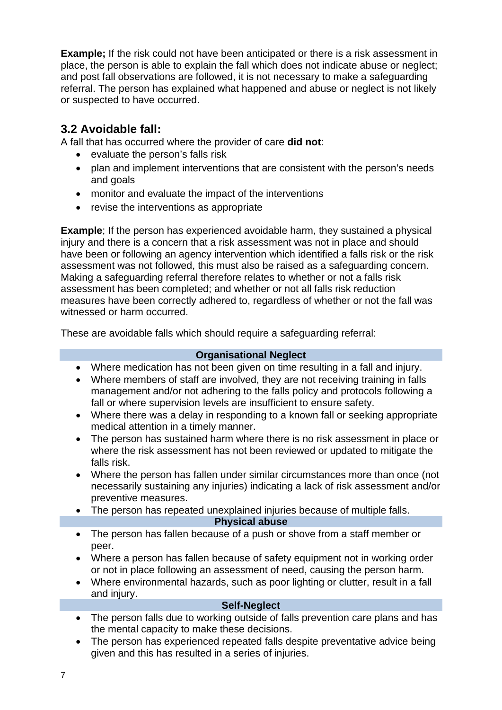**Example;** If the risk could not have been anticipated or there is a risk assessment in place, the person is able to explain the fall which does not indicate abuse or neglect; and post fall observations are followed, it is not necessary to make a safeguarding referral. The person has explained what happened and abuse or neglect is not likely or suspected to have occurred.

## <span id="page-6-0"></span>**3.2 Avoidable fall:**

A fall that has occurred where the provider of care **did not**:

- evaluate the person's falls risk
- plan and implement interventions that are consistent with the person's needs and goals
- monitor and evaluate the impact of the interventions
- revise the interventions as appropriate

**Example**; If the person has experienced avoidable harm, they sustained a physical injury and there is a concern that a risk assessment was not in place and should have been or following an agency intervention which identified a falls risk or the risk assessment was not followed, this must also be raised as a safeguarding concern. Making a safeguarding referral therefore relates to whether or not a falls risk assessment has been completed; and whether or not all falls risk reduction measures have been correctly adhered to, regardless of whether or not the fall was witnessed or harm occurred.

These are avoidable falls which should require a safeguarding referral:

#### **Organisational Neglect**

- Where medication has not been given on time resulting in a fall and injury.
- Where members of staff are involved, they are not receiving training in falls management and/or not adhering to the falls policy and protocols following a fall or where supervision levels are insufficient to ensure safety.
- Where there was a delay in responding to a known fall or seeking appropriate medical attention in a timely manner.
- The person has sustained harm where there is no risk assessment in place or where the risk assessment has not been reviewed or updated to mitigate the falls risk.
- Where the person has fallen under similar circumstances more than once (not necessarily sustaining any injuries) indicating a lack of risk assessment and/or preventive measures.
- The person has repeated unexplained injuries because of multiple falls.

#### **Physical abuse**

- The person has fallen because of a push or shove from a staff member or peer.
- Where a person has fallen because of safety equipment not in working order or not in place following an assessment of need, causing the person harm.
- Where environmental hazards, such as poor lighting or clutter, result in a fall and injury.

#### **Self-Neglect**

- The person falls due to working outside of falls prevention care plans and has the mental capacity to make these decisions.
- The person has experienced repeated falls despite preventative advice being given and this has resulted in a series of injuries.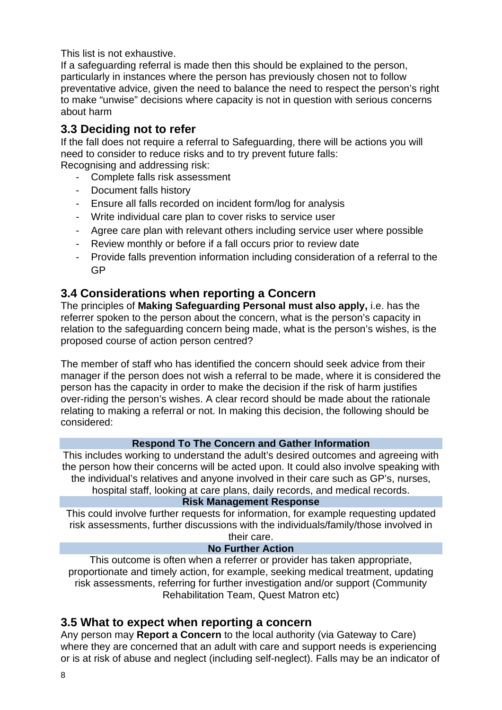This list is not exhaustive.

If a safeguarding referral is made then this should be explained to the person, particularly in instances where the person has previously chosen not to follow preventative advice, given the need to balance the need to respect the person's right to make "unwise" decisions where capacity is not in question with serious concerns about harm

## <span id="page-7-0"></span>**3.3 Deciding not to refer**

If the fall does not require a referral to Safeguarding, there will be actions you will need to consider to reduce risks and to try prevent future falls: Recognising and addressing risk:

- Complete falls risk assessment
- Document falls history
- Ensure all falls recorded on incident form/log for analysis
- Write individual care plan to cover risks to service user
- Agree care plan with relevant others including service user where possible
- Review monthly or before if a fall occurs prior to review date
- Provide falls prevention information including consideration of a referral to the GP

## <span id="page-7-1"></span>**3.4 Considerations when reporting a Concern**

The principles of **Making Safeguarding Personal must also apply,** i.e. has the referrer spoken to the person about the concern, what is the person's capacity in relation to the safeguarding concern being made, what is the person's wishes, is the proposed course of action person centred?

The member of staff who has identified the concern should seek advice from their manager if the person does not wish a referral to be made, where it is considered the person has the capacity in order to make the decision if the risk of harm justifies over-riding the person's wishes. A clear record should be made about the rationale relating to making a referral or not. In making this decision, the following should be considered:

#### **Respond To The Concern and Gather Information**

This includes working to understand the adult's desired outcomes and agreeing with the person how their concerns will be acted upon. It could also involve speaking with the individual's relatives and anyone involved in their care such as GP's, nurses, hospital staff, looking at care plans, daily records, and medical records.

#### **Risk Management Response**

This could involve further requests for information, for example requesting updated risk assessments, further discussions with the individuals/family/those involved in their care.

#### **No Further Action**

This outcome is often when a referrer or provider has taken appropriate, proportionate and timely action, for example, seeking medical treatment, updating risk assessments, referring for further investigation and/or support (Community Rehabilitation Team, Quest Matron etc)

## **3.5 What to expect when reporting a concern**

Any person may **Report a Concern** to the local authority (via Gateway to Care) where they are concerned that an adult with care and support needs is experiencing or is at risk of abuse and neglect (including self-neglect). Falls may be an indicator of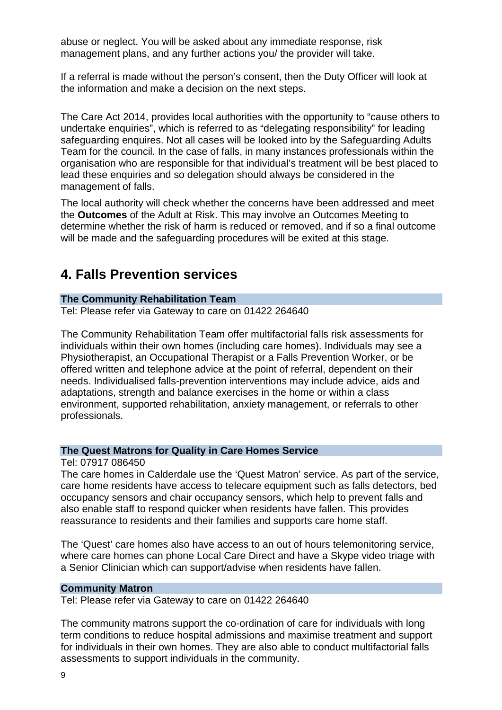abuse or neglect. You will be asked about any immediate response, risk management plans, and any further actions you/ the provider will take.

If a referral is made without the person's consent, then the Duty Officer will look at the information and make a decision on the next steps.

The Care Act 2014, provides local authorities with the opportunity to "cause others to undertake enquiries", which is referred to as "delegating responsibility" for leading safeguarding enquires. Not all cases will be looked into by the Safeguarding Adults Team for the council. In the case of falls, in many instances professionals within the organisation who are responsible for that individual's treatment will be best placed to lead these enquiries and so delegation should always be considered in the management of falls.

The local authority will check whether the concerns have been addressed and meet the **Outcomes** of the Adult at Risk. This may involve an Outcomes Meeting to determine whether the risk of harm is reduced or removed, and if so a final outcome will be made and the safeguarding procedures will be exited at this stage.

# <span id="page-8-0"></span>**4. Falls Prevention services**

#### **The Community Rehabilitation Team**

Tel: Please refer via Gateway to care on 01422 264640

The Community Rehabilitation Team offer multifactorial falls risk assessments for individuals within their own homes (including care homes). Individuals may see a Physiotherapist, an Occupational Therapist or a Falls Prevention Worker, or be offered written and telephone advice at the point of referral, dependent on their needs. Individualised falls-prevention interventions may include advice, aids and adaptations, strength and balance exercises in the home or within a class environment, supported rehabilitation, anxiety management, or referrals to other professionals.

#### **The Quest Matrons for Quality in Care Homes Service**

Tel: 07917 086450

The care homes in Calderdale use the 'Quest Matron' service. As part of the service, care home residents have access to telecare equipment such as falls detectors, bed occupancy sensors and chair occupancy sensors, which help to prevent falls and also enable staff to respond quicker when residents have fallen. This provides reassurance to residents and their families and supports care home staff.

The 'Quest' care homes also have access to an out of hours telemonitoring service, where care homes can phone Local Care Direct and have a Skype video triage with a Senior Clinician which can support/advise when residents have fallen.

#### **Community Matron**

Tel: Please refer via Gateway to care on 01422 264640

The community matrons support the co-ordination of care for individuals with long term conditions to reduce hospital admissions and maximise treatment and support for individuals in their own homes. They are also able to conduct multifactorial falls assessments to support individuals in the community.